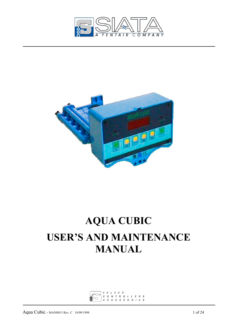



# **AQUA CUBIC USER'S AND MAINTENANCE MANUAL**

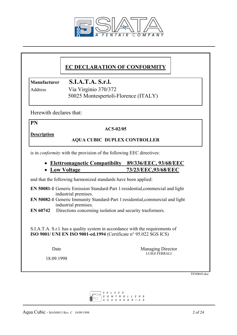

# **EC DECLARATION OF CONFORMITY**

**Manufacturer S.I.A.T.A. S.r.l.**

Address Via Virginio 370/372 50025 Montespertoli-Florence (ITALY)

Herewith declares that:

**PN** 

#### **AC5-02/05**

**Description**

#### **AQUA CUBIC DUPLEX CONTROLLER**

is in *conformity* with the provision of the following EEC directives:

# • **Elettromagnetic Compatibilty 89/336/EEC, 93/68/EEC**

### • **Low Voltage 73/23/EEC,93/68/EEC**

and that the following harmonized standards have been applied:

**EN 50081-1** Generic Emission Standard-Part 1:residential,commercial and light industrial premises.

**EN 50082-1** Generic Immunity Standard-Part 1:residential,commercial and light industrial premises.

**EN 60742** Directions concerning isolation and security trasformers.

 S.I.A.T.A. S.r.l. has a quality system in accordance with the requirements of **ISO 9001/ UNI EN ISO 9001-ed.1994** (Certificate n° 95.022 SGS ICS)

18.09.1998

Date Managing Director LUIGI FERRALI

TEN0043.doc

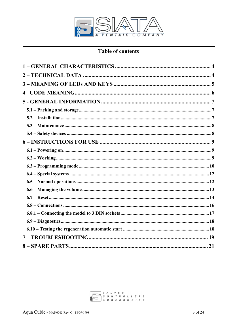

# **Table of contents**

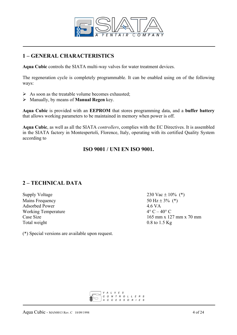

# **1 – GENERAL CHARACTERISTICS**

**Aqua Cubic** controls the SIATA multi-way valves for water treatment devices.

The regeneration cycle is completely programmable. It can be enabled using on of the following ways:

- $\triangleright$  As soon as the treatable volume becomes exhausted;
- ¾ Manually, by means of **Manual Regen** key.

**Aqua Cubic** is provided with an **EEPROM** that stores programming data, and a **buffer battery** that allows working parameters to be maintained in memory when power is off.

**Aqua Cubic**, as well as all the SIATA *controllers*, complies with the EC Directives. It is assembled in the SIATA factory in Montespertoli, Florence, Italy, operating with its certified Quality System according to

## **ISO 9001 / UNI EN ISO 9001.**

# **2 – TECHNICAL DATA**

Supply Voltage 230 Vac  $\pm$  10% (\*) Mains Frequency 50 Hz  $\pm$  3% (\*) Adsorbed Power 4.6 VA<br>Working Temperature  $4^{\circ}$  C  $-40^{\circ}$  C Working Temperature Total weight 0.8 to 1.5 Kg

Case Size  $165 \text{ mm} \times 127 \text{ mm} \times 70 \text{ mm}$ 

(\*) Special versions are available upon request.

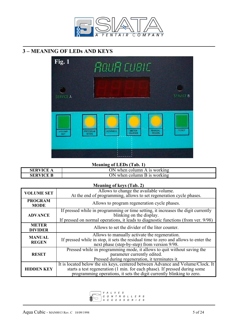

# **3 – MEANING OF LEDs AND KEYS**



# **Meaning of LEDs (Tab. 1)**

| <b>SERVICE</b>   | ЭN<br>when column.<br>; working<br>. IS<br>$\overline{A}$ |
|------------------|-----------------------------------------------------------|
| <b>SERVICE B</b> | )N<br>when column.<br>working<br>$B_{1S}$                 |

#### **Meaning of keys (Tab. 2)**

| <b>VOLUME SET</b>              | Allows to change the available volume.<br>At the end of programming, allows to set regeneration cycle phases.                                                                                                                          |  |
|--------------------------------|----------------------------------------------------------------------------------------------------------------------------------------------------------------------------------------------------------------------------------------|--|
| <b>PROGRAM</b><br><b>MODE</b>  | Allows to program regeneration cycle phases.                                                                                                                                                                                           |  |
| <b>ADVANCE</b>                 | If pressed while in programming or time setting, it increases the digit currently<br>blinking on the display.<br>If pressed on normal operations, it leads to diagnostic functions (from ver. 9/98)                                    |  |
| <b>METER</b><br><b>DIVIDER</b> | Allows to set the divider of the liter counter.                                                                                                                                                                                        |  |
| <b>MANUAL</b><br><b>REGEN</b>  | Allows to manually activate the regeneration.<br>If pressed while in stop, it sets the residual time to zero and allows to enter the<br>next phase (step-by-step) from version 9/98.                                                   |  |
| <b>RESET</b>                   | Pressed while in programming mode, it allows to quit without saving the<br>parameter currently edited.<br>Pressed during regeneration, it terminates it.                                                                               |  |
| <b>HIDDEN KEY</b>              | It is located below the six keys, centered between Advance and Volume/Clock. It<br>starts a test regeneration (1 min. for each phase). If pressed during some<br>programming operations, it sets the digit currently blinking to zero. |  |

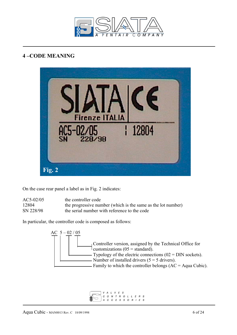

# **4 –CODE MEANING**



On the case rear panel a label as in Fig. 2 indicates:

| $AC5-02/05$ | the controller code                                          |
|-------------|--------------------------------------------------------------|
| 12804       | the progressive number (which is the same as the lot number) |
| SN 228/98   | the serial number with reference to the code                 |

In particular, the controller code is composed as follows:



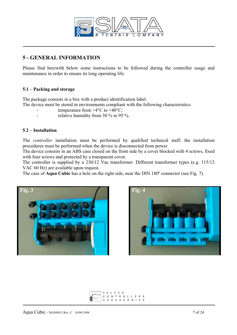

# **5 - GENERAL INFORMATION**

Please find herewith below some instructions to be followed during the controller usage and maintenance in order to ensure its long operating life.

#### **5.1 – Packing and storage**

The package consists in a box with a product identification label.

The device must be stored in environments compliant with the following characteristics:

- temperature from  $+4^{\circ}$ C to  $+40^{\circ}$ C;
- relative humidity from 30 % to 95 %.

#### **5.2 – Installation**

The *controller* installation must be performed by qualified technical staff; the installation procedures must be performed when the device is disconnected from power.

The device consists in an ABS case closed on the front side by a cover blocked with 4 screws, fixed with four screws and protected by a transparent cover.

The controller is supplied by a 230/12 Vac transformer. Different transformer types (e.g. 115/12 VAC 60 Hz) are available upon request.

The case of **Aqua Cubic** has a hole on the right side, near the DIN 180º connector (see Fig. 7).





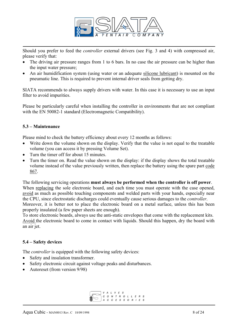

Should you prefer to feed the *controller* external drivers (see Fig. 3 and 4) with compressed air, please verify that:

- The driving air pressure ranges from 1 to 6 bars. In no case the air pressure can be higher than the input water pressure;
- An air humidification system (using water or an adequate silicone lubricant) is mounted on the pneumatic line. This is required to prevent internal driver seals from getting dry.

SIATA recommends to always supply drivers with water. In this case it is necessary to use an input filter to avoid impurities.

Please be particularly careful when installing the controller in environments that are not compliant with the EN 50082-1 standard (Electromagnetic Compatibility).

#### **5.3 – Maintenance**

Please mind to check the battery efficiency about every 12 months as follows:

- Write down the volume shown on the display. Verify that the value is not equal to the treatable volume (you can access it by pressing Volume Set).
- Turn the timer off for about 15 minutes.
- Turn the timer on. Read the value shown on the display: if the display shows the total treatable volume instead of the value previously written, then replace the battery using the spare part code 867.

The following servicing operations **must always be performed when the controller is off power**. When replacing the sole electronic board, and each time you must operate with the case opened, avoid as much as possible touching components and welded parts with your hands, especially near the CPU, since electrostatic discharges could eventually cause serious damages to the *controller*. Moreover, it is better not to place the electronic board on a metal surface, unless this has been properly insulated (a few paper sheets are enough).

To store electronic boards, always use the anti-static envelopes that come with the replacement kits. Avoid the electronic board to come in contact with liquids. Should this happen, dry the board with an air jet.

#### **5.4 – Safety devices**

The *controller* is equipped with the following safety devices:

- Safety and insulation transformer.
- Safety electronic circuit against voltage peaks and disturbances.
- Autoreset (from version 9/98)

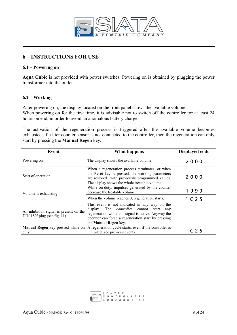

## **6 – INSTRUCTIONS FOR USE**

#### **6.1 – Powering on**

**Aqua Cubic** is not provided with power switches. Powering on is obtained by plugging the power transformer into the outlet.

#### **6.2 – Working**

After powering on, the display located on the front panel shows the available volume. When powering on for the first time, it is advisable not to switch off the controller for at least 24 hours on end, in order to avoid an anomalous battery charge.

The activation of the regeneration process is triggered after the available volume becomes exhausted. If a liter counter sensor is not connected to the controller, then the regeneration can only start by pressing the **Manual Regen** key.

| Event                                                                         | <b>What happens</b>                                                                                                                                                                                                                            | <b>Displayed code</b>         |
|-------------------------------------------------------------------------------|------------------------------------------------------------------------------------------------------------------------------------------------------------------------------------------------------------------------------------------------|-------------------------------|
| Powering on                                                                   | The display shows the available volume                                                                                                                                                                                                         | 2000                          |
| Start of operation                                                            | When a regeneration process terminates, or when<br>the Reset key is pressed, the working parameters<br>are restored with previously programmed values.<br>The display shows the whole treatable volume.                                        | 2000                          |
| Volume is exhausting                                                          | While on-duty, impulses generated by the counter<br>decrease the treatable volume.                                                                                                                                                             | 1999                          |
|                                                                               | When the volume reaches 0, regeneration starts.                                                                                                                                                                                                | 1 C 2 5                       |
| An inhibition signal is present on the<br>DIN $180^\circ$ plug (see fig. 11). | This event is not indicated in any way on the<br>display. The <i>controller</i> cannot<br>start<br>any<br>regeneration while this signal is active. Anyway the<br>operator can force a regeneration start by pressing<br>the Manual Regen key. |                               |
| duty.                                                                         | <b>Manual Regen</b> key pressed while on   A regeneration cycle starts, even if the controller is<br>inhibited (see previous event).                                                                                                           | 1 <sub>C</sub> 2 <sub>5</sub> |

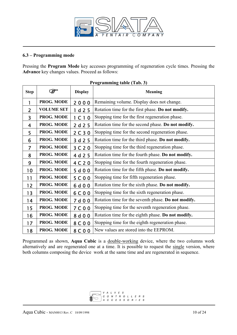

#### **6.3 – Programming mode**

Pressing the **Program Mode** key accesses programming of regeneration cycle times. Pressing the **Advance** key changes values. Proceed as follows:

| <b>Step</b>    |                   | <b>Display</b>                | <b>Meaning</b>                                      |
|----------------|-------------------|-------------------------------|-----------------------------------------------------|
| 1              | PROG. MODE        | 2000                          | Remaining volume. Display does not change.          |
| $\overline{2}$ | <b>VOLUME SET</b> | 1 d25                         | Rotation time for the first phase. Do not modify.   |
| 3              | PROG. MODE        | 1 <sub>C</sub> 1 <sub>O</sub> | Stopping time for the first regeneration phase.     |
| 4              | PROG. MODE        | 2 d 2 5                       | Rotation time for the second phase. Do not modify.  |
| 5              | PROG. MODE        | 2 C 3 0                       | Stopping time for the second regeneration phase.    |
| 6              | PROG. MODE        | 3 d 2 5                       | Rotation time for the third phase. Do not modify.   |
| $\overline{7}$ | PROG. MODE        | 3 C 2 0                       | Stopping time for the third regeneration phase.     |
| 8              | PROG. MODE        | 4 d 2 5                       | Rotation time for the fourth phase. Do not modify.  |
| 9              | PROG. MODE        | 4 C 2 0                       | Stopping time for the fourth regeneration phase.    |
| 10             | PROG. MODE        | 5 d 0 0                       | Rotation time for the fifth phase. Do not modify.   |
| 11             | PROG. MODE        | 5C00                          | Stopping time for fifth regeneration phase.         |
| 12             | PROG. MODE        | 6 d 0 0                       | Rotation time for the sixth phase. Do not modify.   |
| 13             | PROG. MODE        | 6C00                          | Stopping time for the sixth regeneration phase.     |
| 14             | PROG. MODE        | 7 d 0 0                       | Rotation time for the seventh phase. Do not modify. |
| 15             | PROG. MODE        | 7 C 0 0                       | Stopping time for the seventh regeneration phase.   |
| 16             | PROG. MODE        | 8 d 0 0                       | Rotation time for the eighth phase. Do not modify.  |
| 17             | PROG. MODE        | 8 C 0 0                       | Stopping time for the eighth regeneration phase.    |
| 18             | PROG. MODE        | 8 C 0 0                       | New values are stored into the EEPROM.              |

#### **Programming table (Tab. 3)**

Programmed as shown, **Aqua Cubic** is a double-working device, where the two columns work alternatively and are regenerated one at a time. It is possible to request the single version, where both columns composing the device work at the same time and are regenerated in sequence.

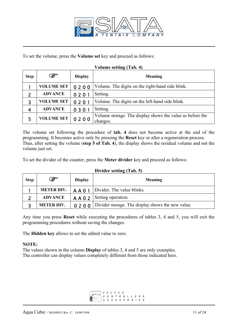

To set the volume, press the **Volume set** key and proceed as follows:

#### **Volume setting (Tab. 4)**

| <b>Step</b> | ⋐                 | <b>Display</b> | <b>Meaning</b>                                                        |
|-------------|-------------------|----------------|-----------------------------------------------------------------------|
|             | <b>VOLUME SET</b> | 0200           | Volume. The digits on the right-hand side blink.                      |
|             | <b>ADVANCE</b>    | 0201           | Setting.                                                              |
| 3           | <b>VOLUME SET</b> | 0201           | Volume. The digits on the left-hand side blink.                       |
| 4           | <b>ADVANCE</b>    | 0301           | Setting.                                                              |
|             | <b>VOLUME SET</b> | 0200           | Volume storage. The display shows the value as before the<br>changes. |

The volume set following the procedure of **tab. 4** does not become active at the end of the programming. It becomes active only by pressing the **Reset** key or after a regeneration process. Thus, after setting the volume (**step 5 of Tab. 4**), the display shows the residual volume and not the volume just set.

To set the divider of the counter, press the **Meter divider** key and proceed as follows:

| <b>Step</b> | G                 | <b>Display</b> | <b>Meaning</b>                                            |
|-------------|-------------------|----------------|-----------------------------------------------------------|
|             | <b>METER DIV.</b> |                | A A 0 1   Divider. The value blinks.                      |
|             | <b>ADVANCE</b>    |                | $A \land 0 \quad 2$ Setting operation.                    |
|             | <b>METER DIV.</b> |                | 0 2 0 0 Divider storage. The display shows the new value. |

#### **Divider setting (Tab. 5)**

Any time you press **Reset** while executing the procedures of tables 3, 4 and 5, you will exit the programming procedures without saving the changes.

The **Hidden key** allows to set the edited value to zero.

#### **NOTE:**

The values shown in the column **Display** of tables 3, 4 and 5 are only examples. The controller can display values completely different from those indicated here.

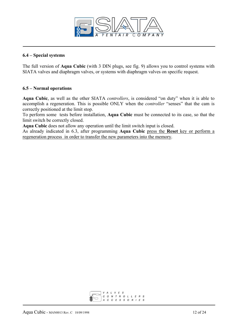

#### **6.4 – Special systems**

The full version of **Aqua Cubic** (with 3 DIN plugs, see fig. 9) allows you to control systems with SIATA valves and diaphragm valves, or systems with diaphragm valves on specific request.

#### **6.5 – Normal operations**

**Aqua Cubic**, as well as the other SIATA *controllers*, is considered "on duty" when it is able to accomplish a regeneration. This is possible ONLY when the *controller* "senses" that the cam is correctly positioned at the limit stop.

To perform some tests before installation, **Aqua Cubic** must be connected to its case, so that the limit switch be correctly closed.

**Aqua Cubic** does not allow any operation until the limit switch input is closed.

As already indicated in 6.3, after programming **Aqua Cubic** press the **Reset** key or perform a regeneration process in order to transfer the new parameters into the memory.

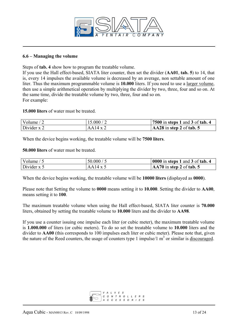

#### **6.6 – Managing the volume**

Steps of **tab. 4** show how to program the treatable volume.

If you use the Hall effect-based, SIATA liter counter, then set the divider (**AA01**, **tab. 5**) to 14, that is, every 14 impulses the available volume is decreased by an average, non settable amount of one liter. Thus the maximum programmable volume is **10.000** liters. If you need to use a larger volume, then use a simple arithmetical operation by multiplying the divider by two, three, four and so on. At the same time, divide the treatable volume by two, three, four and so on. For example:

**15.000 liters** of water must be treated.

| Volume $/2$   | 15.000 / 2      | 7500 in steps 1 and 3 of tab. 4     |
|---------------|-----------------|-------------------------------------|
| Divider $x$ 2 | $AA14 \times 2$ | $\textsf{AA28}$ in step 2 of tab. 5 |

When the device begins working, the treatable volume will be **7500 liters**.

**50.000 liters** of water must be treated.

| Volume $/5$   | 50.000 / 5      | $\vert 0000$ in steps 1 and 3 of tab. 4 |
|---------------|-----------------|-----------------------------------------|
| Divider $x$ 5 | $AA14 \times 5$ | $AA70$ in step 2 of tab. 5              |

When the device begins working, the treatable volume will be **10000 liters** (displayed as **0000**).

Please note that Setting the volume to **0000** means setting it to **10.000**. Setting the divider to **AA00**, means setting it to **100**.

The maximum treatable volume when using the Hall effect-based, SIATA liter counter is **70.000** liters, obtained by setting the treatable volume to **10.000** liters and the divider to **AA98**.

If you use a counter issuing one impulse each liter (or cubic meter), the maximum treatable volume is **1.000.000** of liters (or cubic meters). To do so set the treatable volume to **10.000** liters and the divider to **AA00** (this corresponds to 100 impulses each liter or cubic meter). Please note that, given the nature of the Reed counters, the usage of counters type 1 impulse/1  $m<sup>3</sup>$  or similar is discouraged.

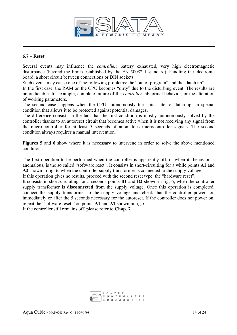

#### **6.7 – Reset**

Several events may influence the *controller*: battery exhausted, very high electromagnetic disturbance (beyond the limits established by the EN 50082-1 standard), handling the electronic board, a short circuit between connections or DIN sockets.

Such events may cause one of the following problems: the "out of program" and the "latch up".

In the first case, the RAM on the CPU becomes "dirty" due to the disturbing event. The results are unpredictable: for example, complete failure of the *controller*, abnormal behavior, or the alteration of working parameters.

The second case happens when the CPU autonomously turns its state to "latch-up", a special condition that allows it to be protected against potential damages.

The difference consists in the fact that the first condition is mostly autonomously solved by the controller thanks to an autoreset circuit that becomes active when it is not receiving any signal from the micro-controller for at least 5 seconds of anomalous microcontroller signals. The second condition always requires a manual intervention.

**Figures 5** and **6** show where it is necessary to intervene in order to solve the above mentioned conditions.

The first operation to be performed when the controller is apparently off, or when its behavior is anomalous, is the so called "software reset". It consists in short-circuiting for a while points **A1** and **A2** shown in fig. 6, when the controller supply transformer is connected to the supply voltage.

If this operation gives no results, proceed with the second reset type: the "hardware reset".

It consists in short-circuiting for 5 seconds points **B1** and **B2** shown in fig. 6, when the controller supply transformer is **disconnected** from the supply voltage. Once this operation is completed, connect the supply transformer to the supply voltage and check that the controller powers on immediately or after the 5 seconds necessary for the autoreset. If the controller does not power on, repeat the "software reset " on points **A1** and **A2** shown in fig. 6.

If the controller still remains off, please refer to **Chap. 7**.

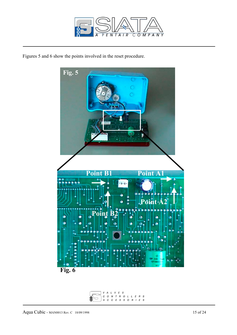

Figures 5 and 6 show the points involved in the reset procedure.



V  $\cal L$  $E$  S A O N T R O L L E R S<br>C C E S S O R I E S  $\boldsymbol{C}$ A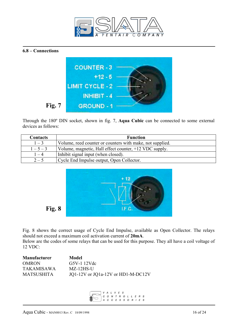





Through the 180º DIN socket, shown in fig. 7, **Aqua Cubic** can be connected to some external devices as follows:

| <b>Contacts</b> | <b>Function</b>                                           |
|-----------------|-----------------------------------------------------------|
| $1 - 3$         | Volume, reed counter or counters with make, not supplied. |
| $1 - 5 - 3$     | Volume, magnetic, Hall effect counter, +12 VDC supply.    |
| $1 - 4$         | Inhibit signal input (when closed).                       |
| $2 - 5$         | Cycle End Impulse output, Open Collector.                 |



**Fig. 8** 

Fig. 8 shows the correct usage of Cycle End Impulse, available as Open Collector. The relays should not exceed a maximum coil activation current of **20mA**. Below are the codes of some relays that can be used for this purpose. They all have a coil voltage of 12 VDC:

| <b>Manufacturer</b> | Model                              |
|---------------------|------------------------------------|
| <b>OMRON</b>        | G5V-1 12Vdc                        |
| TAKAMISAWA          | $MZ-12HS-U$                        |
| <b>MATSUSHITA</b>   | JQ1-12V or JQ1a-12V or HD1-M-DC12V |

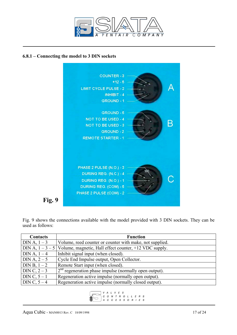

#### **6.8.1 – Connecting the model to 3 DIN sockets**



Fig. 9 shows the connections available with the model provided with 3 DIN sockets. They can be used as follows:

| <b>Contacts</b> | <b>Function</b>                                                       |
|-----------------|-----------------------------------------------------------------------|
| $DIN A, 1-3$    | Volume, reed counter or counter with make, not supplied.              |
|                 | DIN A, $1-3-5$ Volume, magnetic, Hall effect counter, +12 VDC supply. |
| DIN A, $1-4$    | Inhibit signal input (when closed).                                   |
| $DIN A, 2-5$    | Cycle End Impulse output, Open Collector.                             |
| DIN B, $1 - 2$  | Remote Start input (when closed).                                     |
| DIN C, $2 - 3$  | $2nd$ regeneration phase impulse (normally open output).              |
| DIN C, $5-1$    | Regeneration active impulse (normally open output).                   |
| DIN C, $5-4$    | Regeneration active impulse (normally closed output).                 |

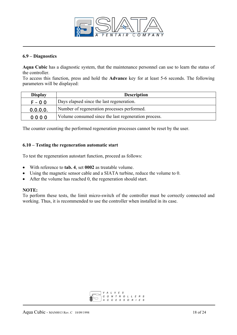

#### **6.9 – Diagnostics**

**Aqua Cubic** has a diagnostic system, that the maintenance personnel can use to learn the status of the controller.

To access this function, press and hold the **Advance** key for at least 5-6 seconds. The following parameters will be displayed:

| <b>Display</b> | <b>Description</b>                                   |
|----------------|------------------------------------------------------|
| $F - 0$ 0      | Days elapsed since the last regeneration.            |
| 0.0.0.0.       | Number of regeneration processes performed.          |
| 0000           | Volume consumed since the last regeneration process. |

The counter counting the performed regeneration processes cannot be reset by the user.

#### **6.10 – Testing the regeneration automatic start**

To test the regeneration autostart function, proceed as follows:

- With reference to **tab. 4**, set **0002** as treatable volume.
- Using the magnetic sensor cable and a SIATA turbine, reduce the volume to 0.
- After the volume has reached 0, the regeneration should start.

#### **NOTE:**

To perform these tests, the limit micro-switch of the controller must be correctly connected and working. Thus, it is recommended to use the controller when installed in its case.

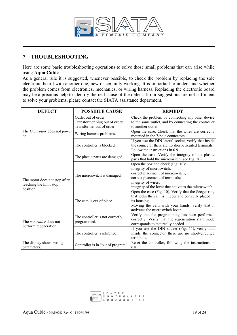

# **7 – TROUBLESHOOTING**

Here are some basic troubleshooting operations to solve those small problems that can arise while using **Aqua Cubic**.

As a general rule it is suggested, whenever possible, to check the problem by replacing the sole electronic board with another one, new or certainly working. It is important to understand whether the problem comes from electronics, mechanics, or wiring harness. Replacing the electronic board may be a precious help to identify the real cause of the defect. If our suggestions are not sufficient to solve your problems, please contact the SIATA assistance department.

| <b>DEFECT</b>                                                         | <b>POSSIBLE CAUSE</b>                                                               | <b>REMEDY</b>                                                                                                                                                                                                           |
|-----------------------------------------------------------------------|-------------------------------------------------------------------------------------|-------------------------------------------------------------------------------------------------------------------------------------------------------------------------------------------------------------------------|
|                                                                       | Outlet out of order.<br>Transformer plug out of order.<br>Transformer out of order. | Check the problem by connecting any other device<br>to the same outlet, and by connecting the controller<br>to another outlet.                                                                                          |
| The Controller does not power<br>on.                                  | Wiring harness problems.                                                            | Open the case. Check that the wires are correctly<br>mounted in the 7-pole connectors.                                                                                                                                  |
|                                                                       | The controller is blocked.                                                          | If you use the DIN lateral socket, verify that inside<br>the connector there are no short-circuited terminals.<br>Follow the instructions in 6.9                                                                        |
|                                                                       | The plastic parts are damaged.                                                      | Open the case. Verify the integrity of the plastic<br>parts that hold the microswitch (see Fig. 10).                                                                                                                    |
| The motor does not stop after<br>reaching the limit stop<br>position. | The microswitch is damaged.                                                         | Open the box and check (Fig. 10):<br>integrity of microswitch;<br>correct placement of microswitch;<br>correct placement of terminals;<br>integrity of wires;<br>integrity of the lever that activates the microswitch. |
|                                                                       | The cam is out of place.                                                            | Open the case (Fig. 10). Verify that the Seeger ring<br>that locks the cam is integer and correctly placed in<br>its housing.<br>Moving the cam with your hands, verify that it<br>activates the microswitch lever.     |
| The <i>controller</i> does not<br>perform regeneration                | The controller is not correctly<br>programmed.                                      | Verify that the programming has been performed<br>correctly. Verify that the regeneration start mode<br>corresponds to that really needed.                                                                              |
|                                                                       | The controller is inhibited.                                                        | If you use the DIN socket (Fig. 11), verify that<br>inside the connector there are no short-circuited<br>terminals.                                                                                                     |
| The display shows wrong<br>parameters.                                | Controller is in "out of program".                                                  | Reset the controller, following the instructions in<br>6.8                                                                                                                                                              |

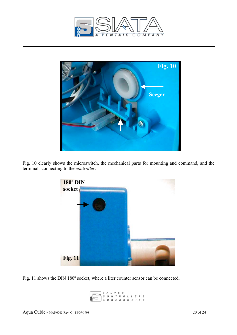



Fig. 10 clearly shows the microswitch, the mechanical parts for mounting and command, and the terminals connecting to the *controller*.



Fig. 11 shows the DIN 180º socket, where a liter counter sensor can be connected.

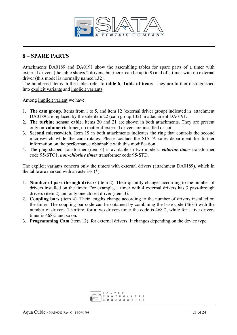

## **8 – SPARE PARTS**

Attachments DA0189 and DA0191 show the assembling tables for spare parts of a timer with external drivers (the table shows 2 drivers, but there can be up to 9) and of a timer with no external driver (this model is normally named **132**).

The numbered items in the tables refer to **table 6**, **Table of items**. They are further distinguished into explicit variants and implicit variants.

Among implicit variant we have:

- 1. **The cam group**. Items from 1 to 5, and item 12 (external driver group) indicated in attachment DA0189 are replaced by the sole item 22 (cam group 132) in attachment DA0191.
- 2. **The turbine sensor cable**. Items 20 and 21 are shown in both attachments. They are present only on **volumetric** timer, no matter if external drivers are installed or not.
- 3. **Second microswitch**. Item 19 in both attachments indicates the ring that controls the second microswitch while the cam rotates. Please contact the SIATA sales department for further information on the performance obtainable with this modification.
- 4. The plug-shaped transformer (item 6) is available in two models: *chlorine timer* transformer code 95-STC1; *non-chlorine timer* transformer code 95-STD.

The explicit variants concern only the timers with external drivers (attachment DA0189), which in the table are marked with an asterisk (\*):

- 1. **Number of pass-through drivers** (item 2). Their quantity changes according to the number of drivers installed on the timer. For example, a timer with 4 external drivers has 3 pass-through drivers (item 2) and only one closed driver (item 3).
- 2. **Coupling bars** (item 4). Their lengths change according to the number of drivers installed on the timer. The coupling bar code can be obtained by combining the base code (468-) with the number of drivers. Therfore, for a two-drivers timer the code is 468-2, while for a five-drivers timer is 468-5 and so on.
- 3. **Programming Cam** (item 12) for external drivers. It changes depending on the device type.

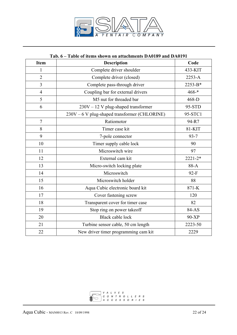

#### **Tab. 6 – Table of items shown on attachments DA0189 and DA0191**

| <b>Item</b>    | <b>Description</b>                            | Code        |
|----------------|-----------------------------------------------|-------------|
| $\mathbf{1}$   | Complete driver shoulder                      | 433-KIT     |
| $\overline{2}$ | Complete driver (closed)                      | 2253-A      |
| $\overline{3}$ | Complete pass-through driver                  | 2253-B*     |
| $\overline{4}$ | Coupling bar for external drivers             | $468 -$ *   |
| 5              | M5 nut for threaded bar                       | 468-D       |
| 6              | $230V - 12$ V plug-shaped transformer         | 95-STD      |
|                | 230V - 6 V plug-shaped transformer (CHLORINE) | 95-STC1     |
| $\overline{7}$ | Ratiomotor                                    | 94-R7       |
| 8              | Timer case kit                                | 81-KIT      |
| 9              | 7-pole connector                              | $93 - 7$    |
| 10             | Timer supply cable lock                       | 90          |
| 11             | Microswitch wire                              | 97          |
| 12             | External cam kit                              | $2221 - 2*$ |
| 13             | Micro-switch locking plate                    | 88-A        |
| 14             | Microswitch                                   | $92-F$      |
| 15             | Microswitch holder                            | 88          |
| 16             | Aqua Cubic electronic board kit               | 871-K       |
| 17             | Cover fastening screw                         | 120         |
| 18             | Transparent cover for timer case              | 82          |
| 19             | Stop ring on power takeoff                    | 84-AS       |
| 20             | <b>Black cable lock</b>                       | 90-XP       |
| 21             | Turbine sensor cable, 50 cm length            | 2223-50     |
| 22             | New driver timer programming cam kit          | 2229        |

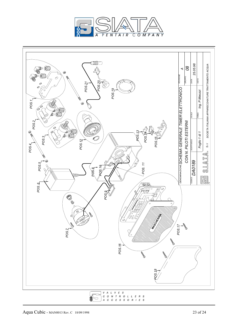



$$
\bigcap \begin{array}{c} G & O & N & T & R & O & L & L & E & R & S \\ 0 & 0 & 0 & 0 & 0 & 0 & 0 & 0 & 0 & 0 \\ 0 & 0 & 0 & 0 & 0 & 0 & 0 & 0 & 0 & 0 \\ 0 & 0 & 0 & 0 & 0 & 0 & 0 & 0 & 0 & 0 \\ 0 & 0 & 0 & 0 & 0 & 0 & 0 & 0 & 0 & 0 \\ 0 & 0 & 0 & 0 & 0 & 0 & 0 & 0 & 0 & 0 \\ 0 & 0 & 0 & 0 & 0 & 0 & 0 & 0 & 0 & 0 \\ 0 & 0 & 0 & 0 & 0 & 0 & 0 & 0 & 0 & 0 \\ 0 & 0 & 0 & 0 & 0 & 0 & 0 & 0 & 0 & 0 & 0 \\ 0 & 0 & 0 & 0 & 0 & 0 & 0 & 0 & 0 & 0 & 0 \\ 0 & 0 & 0 & 0 & 0 & 0 & 0 & 0 & 0 & 0 & 0 \\ 0 & 0 & 0 & 0 & 0 & 0 & 0 & 0 & 0 & 0 & 0 \\ 0 & 0 & 0 & 0 & 0 & 0 & 0 & 0 & 0 & 0 & 0 \\ 0 & 0 & 0 & 0 & 0 & 0 & 0 & 0 & 0 & 0 & 0 \\ 0 & 0 & 0 & 0 & 0 & 0 & 0 & 0 & 0 & 0 & 0 \\ 0 & 0 & 0 & 0 & 0 & 0 & 0 & 0 & 0 & 0 & 0 \\ 0 & 0 & 0 & 0 & 0 & 0 & 0 & 0 & 0 & 0 & 0 \\ 0 & 0 & 0 & 0 & 0 & 0 & 0 & 0 & 0 & 0 & 0 \\ 0 & 0 & 0 & 0 & 0 & 0 & 0 & 0 & 0 & 0 & 0 \\ 0 & 0 & 0 & 0 & 0 & 0 & 0 & 0 & 0 & 0 & 0 \\ 0 & 0 & 0 & 0 & 0 & 0 & 0 & 0 & 0 & 0 & 0 \\ 0 & 0 & 0 & 0 & 0 & 0 & 0 & 0 & 0 & 0 & 0 & 0 \\ 0 & 0 & 0 & 0 & 0 & 0 & 0 & 0 & 0 & 0 & 0 \\ 0 & 0 & 0 & 0 & 0 & 0 & 0
$$